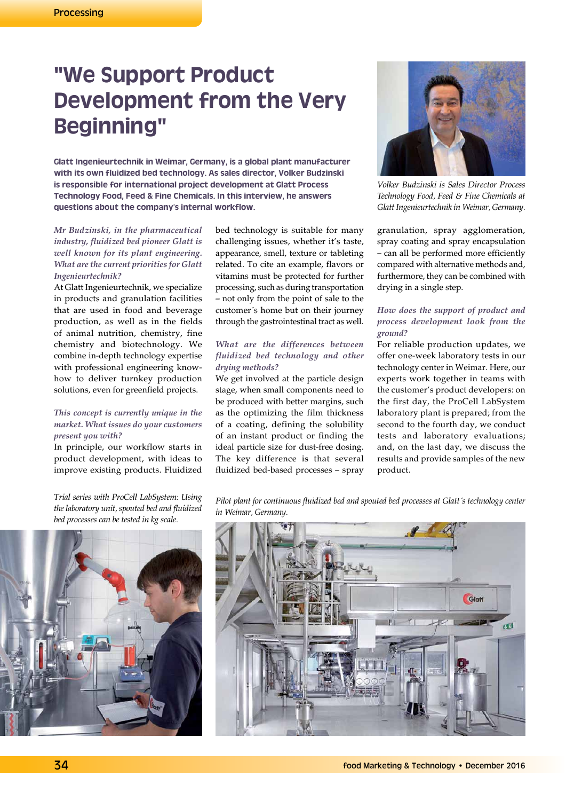# **"We Support Product Development from the Very Beginning"**

**Glatt Ingenieurtechnik in Weimar, Germany, is a global plant manufacturer with its own fluidized bed technology. As sales director, Volker Budzinski is responsible for international project development at Glatt Process Technology Food, Feed & Fine Chemicals. In this interview, he answers questions about the company's internal workflow.**

## *Mr Budzinski, in the pharmaceutical industry, fluidized bed pioneer Glatt is well known for its plant engineering. What are the current priorities for Glatt Ingenieurtechnik?*

At Glatt Ingenieurtechnik, we specialize in products and granulation facilities that are used in food and beverage production, as well as in the fields of animal nutrition, chemistry, fine chemistry and biotechnology. We combine in-depth technology expertise with professional engineering knowhow to deliver turnkey production solutions, even for greenfield projects.

### *This concept is currently unique in the market. What issues do your customers present you with?*

In principle, our workflow starts in product development, with ideas to improve existing products. Fluidized

*Trial series with ProCell LabSystem: Using the laboratory unit, spouted bed and fluidized bed processes can be tested in kg scale.*

bed technology is suitable for many challenging issues, whether it's taste, appearance, smell, texture or tableting related. To cite an example, flavors or vitamins must be protected for further processing, such as during transportation – not only from the point of sale to the customer´s home but on their journey through the gastrointestinal tract as well.

# *What are the differences between fluidized bed technology and other drying methods?*

We get involved at the particle design stage, when small components need to be produced with better margins, such as the optimizing the film thickness of a coating, defining the solubility of an instant product or finding the ideal particle size for dust-free dosing. The key difference is that several fluidized bed-based processes – spray



*Volker Budzinski is Sales Director Process Technology Food, Feed & Fine Chemicals at Glatt Ingenieurtechnik in Weimar, Germany.*

granulation, spray agglomeration, spray coating and spray encapsulation – can all be performed more efficiently compared with alternative methods and, furthermore, they can be combined with drying in a single step.

# *How does the support of product and process development look from the ground?*

For reliable production updates, we offer one-week laboratory tests in our technology center in Weimar. Here, our experts work together in teams with the customer's product developers: on the first day, the ProCell LabSystem laboratory plant is prepared; from the second to the fourth day, we conduct tests and laboratory evaluations; and, on the last day, we discuss the results and provide samples of the new product.



*Pilot plant for continuous fluidized bed and spouted bed processes at Glatt´s technology center in Weimar, Germany.*

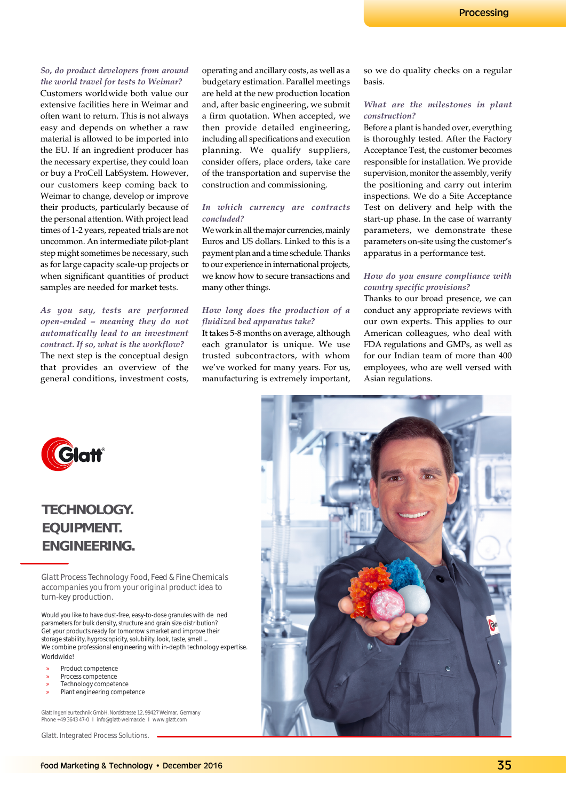#### *So, do product developers from around the world travel for tests to Weimar?*

Customers worldwide both value our extensive facilities here in Weimar and often want to return. This is not always easy and depends on whether a raw material is allowed to be imported into the EU. If an ingredient producer has the necessary expertise, they could loan or buy a ProCell LabSystem. However, our customers keep coming back to Weimar to change, develop or improve their products, particularly because of the personal attention. With project lead times of 1-2 years, repeated trials are not uncommon. An intermediate pilot-plant step might sometimes be necessary, such as for large capacity scale-up projects or when significant quantities of product samples are needed for market tests.

*As you say, tests are performed open-ended – meaning they do not automatically lead to an investment contract. If so, what is the workflow?* The next step is the conceptual design that provides an overview of the general conditions, investment costs,

operating and ancillary costs, as well as a budgetary estimation. Parallel meetings are held at the new production location and, after basic engineering, we submit a firm quotation. When accepted, we then provide detailed engineering, including all specifications and execution planning. We qualify suppliers, consider offers, place orders, take care of the transportation and supervise the construction and commissioning.

#### *In which currency are contracts concluded?*

We work in all the major currencies, mainly Euros and US dollars. Linked to this is a payment plan and a time schedule. Thanks to our experience in international projects, we know how to secure transactions and many other things.

#### *How long does the production of a fluidized bed apparatus take?*

It takes 5-8 months on average, although each granulator is unique. We use trusted subcontractors, with whom we've worked for many years. For us, manufacturing is extremely important, so we do quality checks on a regular basis.

#### *What are the milestones in plant construction?*

Before a plant is handed over, everything is thoroughly tested. After the Factory Acceptance Test, the customer becomes responsible for installation. We provide supervision, monitor the assembly, verify the positioning and carry out interim inspections. We do a Site Acceptance Test on delivery and help with the start-up phase. In the case of warranty parameters, we demonstrate these parameters on-site using the customer's apparatus in a performance test.

### *How do you ensure compliance with country specific provisions?*

Thanks to our broad presence, we can conduct any appropriate reviews with our own experts. This applies to our American colleagues, who deal with FDA regulations and GMPs, as well as for our Indian team of more than 400 employees, who are well versed with Asian regulations.



**TECHNOLOGY. EQUIPMENT. ENGINEERING.**

Glatt Process Technology Food, Feed & Fine Chemicals accompanies you from your original product idea to turn-key production.

Would you like to have dust-free, easy-to-dose granules with dened parameters for bulk density, structure and grain size distribution? Get your products ready for tomorrows market and improve their storage stability, hygroscopicity, solubility, look, taste, smell ... We combine professional engineering with in-depth technology expertise. **Worldwidel** 

- » Product competence
- Process competence
- Technology competence
- Plant engineering competence

Glatt Ingenieurtechnik GmbH, Nordstrasse 12, 99427 Weimar, Germany Phone +49 3643 47-0 I info@glatt-weimar.de I www.glatt.com

Glatt. Integrated Process Solutions.